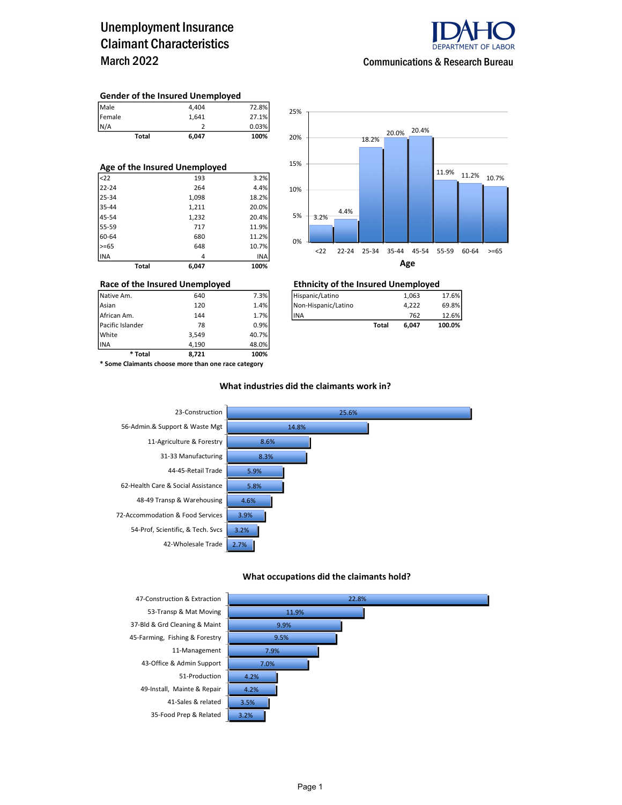## Unemployment Insurance Claimant Characteristics March 2022



Communications & Research Bureau

#### Gender of the Insured Unemployed

| Male   | 4.404 | 72.8% |
|--------|-------|-------|
| Female | 1.641 | 27.1% |
| N/A    |       | 0.03% |

Total 6,047 100%

| Age of the Insured Unemployed |       |       |  |  |  |  |  |
|-------------------------------|-------|-------|--|--|--|--|--|
| $22$                          | 193   | 3.2%  |  |  |  |  |  |
| $22 - 24$                     | 264   | 4.4%  |  |  |  |  |  |
| 25-34                         | 1,098 | 18.2% |  |  |  |  |  |
| 35-44                         | 1,211 | 20.0% |  |  |  |  |  |
| 45-54                         | 1,232 | 20.4% |  |  |  |  |  |
| 55-59                         | 717   | 11.9% |  |  |  |  |  |
| 60-64                         | 680   | 11.2% |  |  |  |  |  |
| $>= 65$                       | 648   | 10.7% |  |  |  |  |  |
| <b>INA</b>                    | 4     | INA   |  |  |  |  |  |
| Total                         | 6.047 | 100%  |  |  |  |  |  |



# Race of the Insured Unemployed<br>
Native Am. 640 640 7.3% Hispanic/Latino 1,063 1,063

| Native Am.       | 640 | 7.3%    | Hispanic/Latino     |       | 1.063 | 17.6%  |
|------------------|-----|---------|---------------------|-------|-------|--------|
| Asian            | 120 | 1.4%    | Non-Hispanic/Latino |       | 4.222 | 69.8%  |
| African Am.      | 144 | 1.7%    | <b>IINA</b>         |       | 762   | 12.6%  |
| Pacific Islander | 78  | $0.9\%$ |                     | Total | 6.047 | 100.0% |

INA 4,190 48.0% \* Some Claimants choose more than one race category

\* Total 8,721 100%

Pacific Islander 78 0.9% White 3,549 40.7%

#### What industries did the claimants work in?



#### What occupations did the claimants hold?



37-Bld & Grd Cleaning & Maint 45-Farming, Fishing & Forestry **45-Farming**, Fishing & Forestry 43-Office & Admin Support 7.0% 51-Production 4.2% 49-Install, Mainte & Repair 4.2% 41-Sales & related 3.5% 35-Food Prep & Related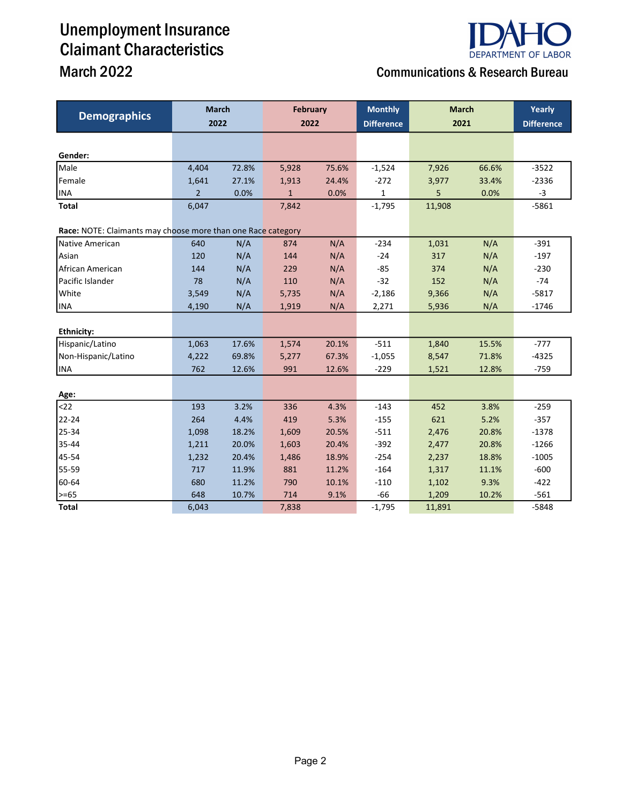# Unemployment Insurance Claimant Characteristics

### **DEPARTMENT OF LABOR** March 2022 Communications & Research Bureau

| <b>Demographics</b>                                          | <b>March</b>   |       | <b>February</b><br>2022 |       | <b>Monthly</b>    | <b>March</b><br>2021 |       | Yearly            |
|--------------------------------------------------------------|----------------|-------|-------------------------|-------|-------------------|----------------------|-------|-------------------|
|                                                              | 2022           |       |                         |       | <b>Difference</b> |                      |       | <b>Difference</b> |
|                                                              |                |       |                         |       |                   |                      |       |                   |
| Gender:                                                      |                |       |                         |       |                   |                      |       |                   |
| Male                                                         | 4,404          | 72.8% | 5,928                   | 75.6% | $-1,524$          | 7,926                | 66.6% | $-3522$           |
| Female                                                       | 1,641          | 27.1% | 1,913                   | 24.4% | $-272$            | 3,977                | 33.4% | $-2336$           |
| <b>INA</b>                                                   | $\overline{2}$ | 0.0%  | $\mathbf{1}$            | 0.0%  | $\mathbf 1$       | 5                    | 0.0%  | $-3$              |
| <b>Total</b>                                                 | 6,047          |       | 7,842                   |       | $-1,795$          | 11,908               |       | $-5861$           |
| Race: NOTE: Claimants may choose more than one Race category |                |       |                         |       |                   |                      |       |                   |
| Native American                                              | 640            | N/A   | 874                     | N/A   | $-234$            | 1,031                | N/A   | $-391$            |
| Asian                                                        | 120            | N/A   | 144                     | N/A   | $-24$             | 317                  | N/A   | $-197$            |
| African American                                             | 144            | N/A   | 229                     | N/A   | $-85$             | 374                  | N/A   | $-230$            |
| Pacific Islander                                             | 78             | N/A   | 110                     | N/A   | $-32$             | 152                  | N/A   | $-74$             |
| White                                                        | 3,549          | N/A   | 5,735                   | N/A   | $-2,186$          | 9,366                | N/A   | $-5817$           |
| <b>INA</b>                                                   | 4,190          | N/A   | 1,919                   | N/A   | 2,271             | 5,936                | N/A   | $-1746$           |
|                                                              |                |       |                         |       |                   |                      |       |                   |
| Ethnicity:                                                   |                |       |                         |       |                   |                      |       |                   |
| Hispanic/Latino                                              | 1,063          | 17.6% | 1,574                   | 20.1% | $-511$            | 1,840                | 15.5% | $-777$            |
| Non-Hispanic/Latino                                          | 4,222          | 69.8% | 5,277                   | 67.3% | $-1,055$          | 8,547                | 71.8% | $-4325$           |
| <b>INA</b>                                                   | 762            | 12.6% | 991                     | 12.6% | $-229$            | 1,521                | 12.8% | $-759$            |
|                                                              |                |       |                         |       |                   |                      |       |                   |
| Age:                                                         |                |       |                         |       |                   |                      |       |                   |
| $22$                                                         | 193            | 3.2%  | 336                     | 4.3%  | $-143$            | 452                  | 3.8%  | $-259$            |
| 22-24                                                        | 264            | 4.4%  | 419                     | 5.3%  | $-155$            | 621                  | 5.2%  | $-357$            |
| 25-34                                                        | 1,098          | 18.2% | 1,609                   | 20.5% | $-511$            | 2,476                | 20.8% | $-1378$           |
| 35-44                                                        | 1,211          | 20.0% | 1,603                   | 20.4% | $-392$            | 2,477                | 20.8% | $-1266$           |
| 45-54                                                        | 1,232          | 20.4% | 1,486                   | 18.9% | $-254$            | 2,237                | 18.8% | $-1005$           |
| 55-59                                                        | 717            | 11.9% | 881                     | 11.2% | $-164$            | 1,317                | 11.1% | $-600$            |
| 60-64                                                        | 680            | 11.2% | 790                     | 10.1% | $-110$            | 1,102                | 9.3%  | $-422$            |
| $>= 65$                                                      | 648            | 10.7% | 714                     | 9.1%  | $-66$             | 1,209                | 10.2% | $-561$            |
| <b>Total</b>                                                 | 6,043          |       | 7,838                   |       | $-1,795$          | 11,891               |       | $-5848$           |